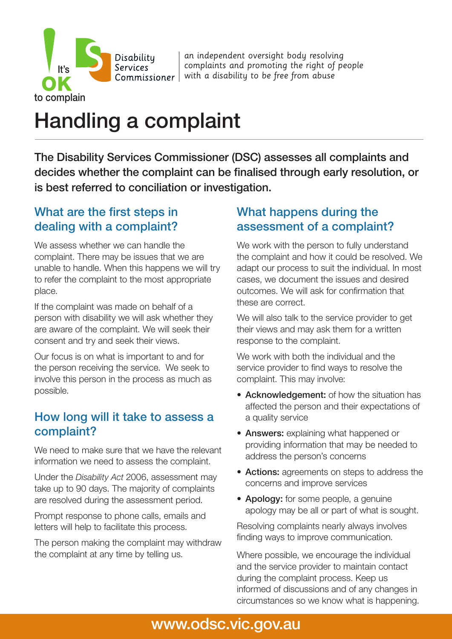

an independent oversight body resolving complaints and promoting the right of people  $Commissioner \mid$  with a disability to be free from abuse

# Handling a complaint

The Disability Services Commissioner (DSC) assesses all complaints and decides whether the complaint can be finalised through early resolution, or is best referred to conciliation or investigation.

## What are the first steps in dealing with a complaint?

We assess whether we can handle the complaint. There may be issues that we are unable to handle. When this happens we will try to refer the complaint to the most appropriate place.

If the complaint was made on behalf of a person with disability we will ask whether they are aware of the complaint. We will seek their consent and try and seek their views.

Our focus is on what is important to and for the person receiving the service. We seek to involve this person in the process as much as possible.

## How long will it take to assess a complaint?

We need to make sure that we have the relevant information we need to assess the complaint.

Under the *Disability Act* 2006, assessment may take up to 90 days. The majority of complaints are resolved during the assessment period.

Prompt response to phone calls, emails and letters will help to facilitate this process.

The person making the complaint may withdraw the complaint at any time by telling us.

## What happens during the assessment of a complaint?

We work with the person to fully understand the complaint and how it could be resolved. We adapt our process to suit the individual. In most cases, we document the issues and desired outcomes. We will ask for confirmation that these are correct.

We will also talk to the service provider to get their views and may ask them for a written response to the complaint.

We work with both the individual and the service provider to find ways to resolve the complaint. This may involve:

- Acknowledgement: of how the situation has affected the person and their expectations of a quality service
- Answers: explaining what happened or providing information that may be needed to address the person's concerns
- Actions: agreements on steps to address the concerns and improve services
- Apology: for some people, a genuine apology may be all or part of what is sought.

Resolving complaints nearly always involves finding ways to improve communication.

Where possible, we encourage the individual and the service provider to maintain contact during the complaint process. Keep us informed of discussions and of any changes in circumstances so we know what is happening.

## www.odsc.vic.gov.au